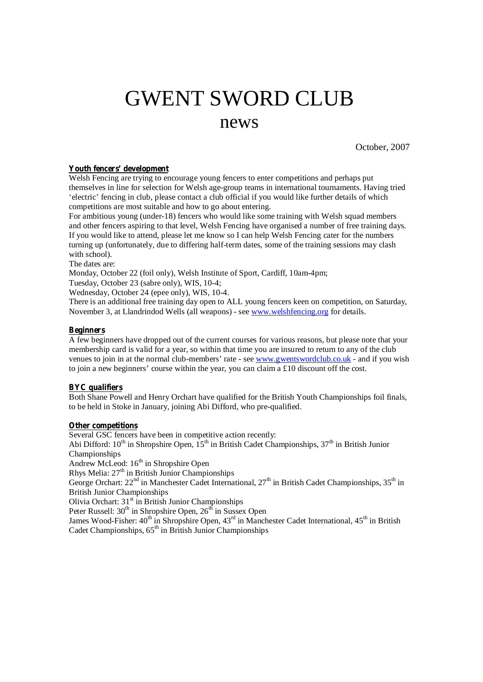# GWENT SWORD CLUB news

October, 2007

#### **Youth fencers' development**

Welsh Fencing are trying to encourage young fencers to enter competitions and perhaps put themselves in line for selection for Welsh age-group teams in international tournaments. Having tried 'electric' fencing in club, please contact a club official if you would like further details of which competitions are most suitable and how to go about entering.

For ambitious young (under-18) fencers who would like some training with Welsh squad members and other fencers aspiring to that level, Welsh Fencing have organised a number of free training days. If you would like to attend, please let me know so I can help Welsh Fencing cater for the numbers turning up (unfortunately, due to differing half-term dates, some of the training sessions may clash with school).

The dates are:

Monday, October 22 (foil only), Welsh Institute of Sport, Cardiff, 10am-4pm;

Tuesday, October 23 (sabre only), WIS, 10-4;

Wednesday, October 24 (epee only), WIS, 10-4.

There is an additional free training day open to ALL young fencers keen on competition, on Saturday, November 3, at Llandrindod Wells (all weapons) - see [www.welshfencing.org](http://www.welshfencing.org) for details.

#### **Beginners**

A few beginners have dropped out of the current courses for various reasons, but please note that your membership card is valid for a year, so within that time you are insured to return to any of the club venues to join in at the normal club-members' rate - see [www.gwentswordclub.co.uk](http://www.gwentswordclub.co.uk-) - and if you wish to join a new beginners' course within the year, you can claim a £10 discount off the cost.

# **BYC qualifiers**

Both Shane Powell and Henry Orchart have qualified for the British Youth Championships foil finals, to be held in Stoke in January, joining Abi Difford, who pre-qualified.

#### **Other competitions**

Several GSC fencers have been in competitive action recently: Abi Difford: 10<sup>th</sup> in Shropshire Open, 15<sup>th</sup> in British Cadet Championships, 37<sup>th</sup> in British Junior Championships Andrew McLeod: 16<sup>th</sup> in Shropshire Open Rhys Melia: 27<sup>th</sup> in British Junior Championships George Orchart:  $22^{nd}$  in Manchester Cadet International,  $27^{th}$  in British Cadet Championships,  $35^{th}$  in British Junior Championships Olivia Orchart: 31<sup>st</sup> in British Junior Championships Peter Russell: 30<sup>th</sup> in Shropshire Open, 26<sup>th</sup> in Sussex Open James Wood-Fisher: 40<sup>th</sup> in Shropshire Open, 43<sup>rd</sup> in Manchester Cadet International, 45<sup>th</sup> in British Cadet Championships, 65<sup>th</sup> in British Junior Championships